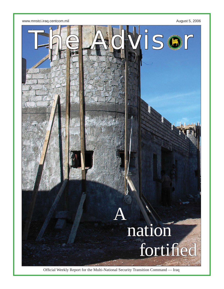

Official Weekly Report for the Multi-National Security Transition Command - Iraq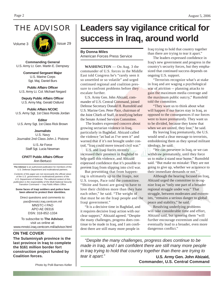THE ADVISOR



**Commanding General** U.S. Army Lt. Gen. Martin E. Dempsey

> **Command Sergeant Major** U.S. Marine Corps Sgt. Maj. Daniel Burs

**Public Affairs Officer** U.S. Army Lt. Col. Michael Negard

**Deputy Public Affairs Officer** U.S. Army Maj. Gerald Ostlund

**Public Affairs NCOIC** U.S. Army Sgt. 1st Class Ronda Jordan

**Editor** U.S. Army Sgt. 1st Class Rick Brown

#### **Journalists** U.S. Navy Journalist 2nd Class John J. Pistone

U.S. Air Force Staff Sgt. Lucia Newman

#### **CPATT Public Affairs Offi cer** Ann Bertucci

**The Advisor** is an authorized publication for members of the U.S. Defense Department and multinational partners.

*Contents of this paper are not necessarily the offi cial views of the U.S. government or multinational partners of the U.S. Department of Defense. The editorial content of this publication is the responsibility of the Multi-National Security*  **Transition Command — Iraq Public Affairs Office.** 

**Some faces of Iraqi soldiers and police have been altered to protect their identities.**

Direct questions and comments to: pao@mnstci.iraq.centcom.mil MNSTC-I PAO APO AE 09316 DSN: 318-852-1334

To subscribe to **The Advisor**, visit us online at: www.mnstci.iraq.centcom.mil/advisor.html

### **ON THE COVER**

**The Sulaminiyah province is the last province in Iraq to complete the \$161 million border fort construction project funded by Coalition forces.** 

# **Leaders say vigilance critical for success in Iraq, around world**

**By Donna Miles** American Forces Press Service

**WASHINGTON** — On Aug. 3 the commander of U.S. forces in the Middle East told Congress he's "rarely seen it so unsettled or so volatile" and urged continued regional and coalition pressure to confront problems before they escalate further.

U.S. Army Gen. John Abizaid, commander of U.S. Central Command, joined Defense Secretary Donald H. Rumsfeld and U.S. Marine Gen. Peter Pace, chairman of the Joint Chiefs of Staff, in testifying before the Senate Armed Services Committee.

 The leaders expressed concern about growing sectarian violence in Iraq, particularly in Baghdad. Abizaid called the violence "as bad as I've seen it" and warned that if it's not brought under control, "Iraq could move toward civil war."

 U.S. and Iraqi forces recently increased their presence in Baghdad to help quell this violence, and Abizaid expressed confidence that it's possible to prevent Iraq from slipping into civil war.

But preventing that from happening is ultimately up to the Iraqis, not U.S. troops, Pace told the committee. "Shiite and Sunni are going to have to love their children more than they hate each other," he said. "The weight of that must be on the Iraqi people and the Iraqi government."

"It is a decisive time in Baghdad, and it requires decisive Iraqi action with our clear support," Abizaid agreed. "Despite the many challenges, progress does continue to be made in Iraq, and I am confident there are still many more people in

Iraq trying to hold that country together than there are trying to tear it apart."

The leaders expressed confidence in Iraq's new government and progress in the country's security forces, but they emphasized that continued success depends on ongoing U.S. support.

 "Terrorists recognize what's at stake in Iraq and are waging a psychological war of attrition -- planning attacks to gain the maximum media coverage and the maximum public outcry," Rumsfeld told the committee.

 "They want us to think about what will happen if our forces stay in Iraq, as opposed to the consequences if our forces were to leave prematurely. They want us to be divided, because they know that when we are united, they lose," he said.

 By leaving Iraq prematurely, the U.S. would send a clear message to terrorists, emboldening them as they spread militant ideology, he said.

 "We can persevere in Iraq, or we can withdraw prematurely, until they force us to make a stand near home," Rumsfeld said. "But make no mistake: They are not going to give up, whether we acquiesce to their immediate demands or not."

 Although the hearing focused on Iraq, Abizaid urged the committee to recognize Iraq as "only one part of a broader regional struggle under way." That struggle, between moderates and extremists, "remains a serious danger to global peace and stability," he said.

 Resolving underlying problems will take considerable time and effort, Abizaid said, but ignoring them "will further encourage extremism and could eventually lead to a broader, even more dangerous conflict."

*"Despite the many challenges, progress does continue to be made in Iraq, and I am confident there are still many more people in Iraq trying to hold that country together than there are trying to tear it apart."* **U.S. Army Gen. John Abizaid,**

**Commander, U.S. Central Command**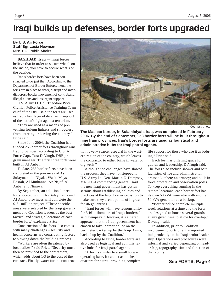## **Iraqi builds up defenses, border forts upgraded**

**By U.S. Air Force Staff Sgt Lucia Newman** MNSTC-I Public Affairs

**BAGHDAD, Iraq** — Iraqi forces believe that in order to secure what's on the inside, you have to secure what's on the outside.

Iraq's border forts have been constructed to do just that. According to the Department of Border Enforcement, the forts are in place to deter, disrupt and interdict cross-border movement of contraband, illegal aliens and insurgent support.

U.S. Army Lt. Col. Theodore Price, Civilian Police Assistance Training Team chief of the DBE, said the forts are used as Iraq's first layer of defense in support of the nation's fight against terrorism.

"They are used as a means of preventing foriegn fighters and smugglers from entering or leaving the country," Price said.

Since June 2004, the Coalition has funded 258 border forts throughout nine Iraqi provinces, according to U.S. Air Force Capt. Tara DeVaugh, DBE program manager. The first three forts were built in Al Anbar.

To date, 255 border forts have been completed in the provinces of As Sulaymaniah, Diyala, Wasit, Maysan, Basrah, Al Muthanna, An Najaf, Al Anbar and Ninawa.

By September, an additional three forts located within As Sulaymania and Al Anbar provinces will complete the \$161 million project. "These specific areas were selected by the Iraqi government and Coalition leaders as the best tactical and strategic locations of each border fort," explained Price.

Construction of the forts also comes with many challenges – security and health concerns are contributing factors to slowing down the building process.

"Workers are often threatened by local tribes," said Price. "Security must then be provided to the contractors, which adds about 1/3 to the cost of the contract. Finally, water for the construc-



Courtesy photo

**The Mashan border, in Sulaminiyah, Iraq, was completed in February 2006. By the end of September, 258 border forts will be built throughout nine Iraqi provinces. Iraq's border forts are used as logistical and administrative hubs for Iraqi patrol agents.** 

tion is very scarce, especial in the western region of the country, which leaves the contractor to either bring in water or dig wells."

Although the challenges have slowed the process, they have not stopped it. U.S. Army Lt. Gen. Martin E. Dempsey, MNSTC-I commanding general, said the new Iraqi government has gotten serious about establishing policies and practices at the legal border crossings to make sure they aren't points of ingress for illegal entries.

"Iraqi forces will have responsibility for 3,161 kilometers of Iraq's borders," said Dempsey. "However, it's a tiered approach that the Iraqi government has chosen to take; border police on the perimeter backed up by the Iraqi Army, backed up by the Coalition."

According to Price, border forts are also used as logistical and administrative hubs for Iraqi patrol agents.

"A fort is similar to a small forward operating base. It can act as the headquarters for a unit, providing complete life support for those who use it as lodging," Price said.

Each fort has billeting space for guards and leadership, DeVaugh said. The forts also include shower and bath facilities: office and administration areas; a kitchen; an armory; and built-in force protection and observation posts. To keep everything running in the remote locations, each border fort has its own 50 kVA generator with another 50 kVA generator as a backup.

"Border police complete multiple week rotations at a time and the forts are designed to house several guards at any given time to allow for overlap," Devaugh said.

In addition, prior to Coalition involvement, ports of entry reported independently to the Iraqi senior leadership. Operations and procedures were informal and varied depending on leadership, topography, size and function of the facility.

### **See FORTS, Page 4**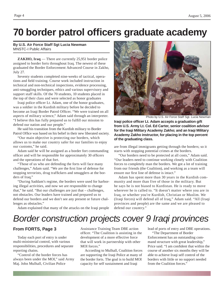# **70 border patrol offi cers graduate academy**

#### **By U.S. Air Force Staff Sgt Lucia Newman** MNSTC-I Public Affairs

**ZAKHO, Iraq** — There are currently 25,951 border police assigned to border forts throughout Iraq. The newest of these graduated the Border Enforcement Advanced Course in Zakho, July 27.

Seventy students completed nine-weeks of tactical, operations and field training. Course work included instruction in technical and non-technical inspections, evidence processing, anti-smuggling techniques, ethics and various supervisory and support staff skills. Of the 70 students, 10 students placed in the top of their class and were selected as honor graduates

Iraqi police officer Lt. Adam, one of the honor graduates, was a soldier in the Kurdish military before he decided to become an Iraqi Border Patrol Officer. "We were trained on all aspects of military science," Adam said through an interpreter. "I believe this has fully prepared us to fulfill our mission to defend our nation and our people."

He said his transition from the Kurdish military to Border Patrol Office was based on his belief in their new liberated society.

"Our main objective is protecting our borders, which allows us to make our country safer for our families to enjoy our customs," he said.

Adam said he will be assigned as a border fort commanding officer and will be responsible for approximately 30 officers and the operations of that fort.

"Those of us who are defending the forts will face many challenges," Adam said. "We are the first line of defense for stopping terrorists, drug traffickers and smugglers at the borders of Iraq."

"During Saddam's regime, the borders were used for harboring illegal activities, and now we are responsible to change that," he said. "But our challenges are just that – challenges, not obstacles. Our leaders have trained and prepared us to defend our borders and we don't see any present or future challenges as obstacles."

Adam explained that many of the attacks on the Iraqi people



Photo by U.S. Air Force Staff Sgt. Lucia Newman

**Iraqi police offi cer Lt. Adam accepts a graduation gift from U.S. Army Lt. Col. Ed Carter, senior coalition advisor for the Iraqi Military Academy Zakho; and an Iraqi Military Academy Zakho instructor, for placing in the top percent of the graduating class.** 

are from illegal immigrants getting through the borders; so it starts with stopping potential crimes at the borders.

"Our borders need to be protected at all costs," Adam said. "Our leaders need to continue working closely with Coalition forces to completely man the borders. We got a lot of training from our friends (the Coalition), and working as a team will ensure our first line of defense is intact."

Adam has spent more than 30 years in the Kurdish community and more than five of those in the military. But he says he is not biased to Kurdistan. He is ready to move wherever he is called to. "It doesn't matter where you are in Iraq, or whether you're Kurdish, Christian or Muslim. We (Iraqi forces) will defend all of Iraq," Adam said. "All (Iraqi provinces and people) are the same and we are pleased to defend our country."

## *Border construction projects cover 9 Iraqi provinces*

### **From FORTS, Page 3**

Today each port of entry is under multi-ministerial control, with various responsibilities, procedures and separate reporting chains.

"Control of the border forces has always been under the MOI," said Army Maj. John Mulhall, Civilian Police

Assistance Training Team DBE action officer. "The Coalition is assisting in the development of a more effective force that will work in partnership with other MOI forces."

According to Mulhall, Coalition forces are supporting the Iraqi Police at many of the border forts. The goal is to build MOI capacity for self sustainment and Iraqi

lead of ports of entry and DBE operations.

"The Department of Border Enforcement has an outstanding command structure with great leadership," Price said. "I am confident that within the course of another six months they will be able to achieve Iraqi self control of the borders with little or no support needed from the Coalition forces."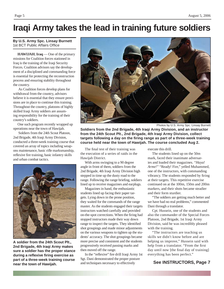### **Iraqi Army takes the lead in training future soldiers**

#### **By U.S. Army Spc. Linsay Burnett** 1st BCT Public Affairs Office

**HAWIJAH**, **Iraq** — One of the primary missions for Coalition forces stationed in Iraq is the training of the Iraqi Security Forces. Coalition advisors say the development of a disciplined and commanding force is essential for protecting the reconstruction process and ensuring stability throughout the country.

 As Coalition forces develop plans for withdrawal from the country, advisors believe it is essential that they ensure provisions are in place to continue this training. Throughout the country, platoons of highly skilled Iraqi Army soldiers are assuming responsibility for the training of their country's soldiers.

One such program recently wrapped up operations near the town of Hawijah.

 Soldiers from the 24th Scout Platoon, 2nd Brigade, 4th Iraqi Army Division, conducted a three-week training course that covered an array of topics including weapons maintenance, basic rifle marksmanship, reflexive fire training, basic infantry skills and urban combat tactics.



**A soldier from the 24th Scout Plt., 2nd Brigade, 4th Iraqi Army makes sure a soldier has the proper stance during a reflexive firing exercise as part of a three-week training course heart of a three week training sourse** and techniques necessary to effectively **See INSTRUCTORS, Page 7** 



Photos by U.S. Army Spc. Linsay Burnett

**Soldiers from the 2nd Brigade, 4th Iraqi Army Division, and an instructor from the 24th Scout Plt., 2nd Brigade, 4th Iraqi Army Division, collect targets following a day on the fi ring range as part of a three-week training course held near the town of Hawijah. The course concluded Aug 2.**

The final test of their training was the execution of a series of raids in the Hawijah District.

With arms swinging to a 90 degree angle in front of them, soldiers from the 2nd Brigade, 4th Iraqi Army Division high stepped in time up the dusty road to the range. Following the range briefing, soldiers lined up to receive magazines and earplugs.

Magazines in hand, the enthusiastic students lined up facing their paper targets. Lying down in the prone position, they waited for the commands of the range master. As the students engaged their targets instructors watched carefully and provided on-the-spot corrections. When the firing had stopped instructors made their way down range to inspect the targets. They identified shot groupings and made minor adjustments on the various weapons to tighten up the students' accuracy. The shot groupings became more precise and consistent and the students progressively received passing marks and then moved off the range.

In the "reflexive" fire drill Iraqi Army 1st Sgt. Dani demonstrated the proper posture and techniques necessary to effectively

execute this drill.

The students lined up on the 50m mark, faced their inanimate adversaries and loaded their magazines. *"Haya! Arme!"* "Ready! Fire," yelled Muhammed, one of the instructors, with commanding vibrancy. The students responded by firing at their targets. This repetitive exercise continued on at the 100m, 150m and 200m markers, and their shots became steadier and their form sturdier.

"The soldiers are getting much better and we have had no real problems," commented Dani through a translator.

Cpt. Hussein, one of the students and also the commander of the Special Forces Platoon, 2nd Brigade, 1st Iraqi Army Division, said he was incredibly pleased with the training.

"The instructors are teaching us skills we didn't know before and are helping us improve," Hussein said with help from a translator. "From the first day until now [the final day of training] everything has been perfect."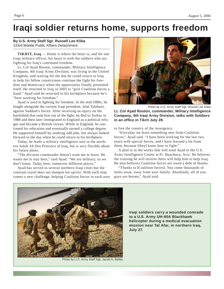### **Iraqi soldier returns home, supports freedom**

#### **By U.S. Army Staff Sgt. Russell Lee Klika** 133rd Mobile Public Affairs Detachment

**TIKRIT, Iraq** — Home is where the heart is, and for one Iraqi military officer, his heart is with the soldiers who are fighting for Iraq's continued freedom.

Lt. Col Ayad Roston, commander, Military Intelligence Company, 4th Iraqi Army Division, was living in the United Kingdom, and waiting for the day he could return to Iraq to help his fellow countrymen continue the fight for freedom and democracy when the opportunity finally presented itself. He returned to Iraq in 2003 to "give Coalition forces a hand." Ayad said he returned to his birthplace because he's "here working for freedom."

Ayad is used to fighting for freedom. In the mid-1980s, he fought alongside the current Iraqi president, Jalal Talabani, against Saddam's forces. After receiving an injury on the battlefield that took him out of the fight, he fled to Turkey in 1988 and then later immigrated to England as a political refugee and became a British citizen. While in England, he continued his education and eventually earned a college degree. He supported himself by working odd jobs, but always looked forward to the day when he could return to his birthplace.

Today, he leads a military intelligence unit in the northern Salah Ah Din Province of Iraq, but is very flexible about his future plans.

"The division commander doesn't want me to leave. He wants me to stay here," said Ayad. "We are military, so we don't know. Today here, tomorrow different places."

Ayad has served in several northern Iraqi cities but the constant travel does not dampen his spirits. With each stop comes a new challenge, helping Coalition forces in each area



Photo by U.S. Army Staff Sgt. Russell Lee Klika

**Lt. Col Ayad Roston, commander, Military Intelligence Company, 4th Iraqi Army Division, talks with Soldiers in an offi ce in Tikrit July 28.**

to free the country of the insurgency.

"Everyday we learn something new from Coalition forces," Ayad said. "I have been working for the last two years with special forces, and I have learned a lot from them, because [they] know how to fight."

A plan is in the works that will send Ayad to the U.S. Army Intelligence Center at Ft. Huachuca, Ariz. He believes the training he will receive there will help him to help Iraq. He also believes Coalition forces are owed a debt of thanks.

"Thanks to [Coalition forces]. You come thousands of miles away, away from your family. Absolutely, all of you guys are heroes," Ayad said.



Photo by U.S. Army Staff Sgt. Jacob N. Bailey

**Iraqi soldiers carry a wounded comrade to a U.S. Army UH-60A Blackhawk helicopter during a medical evacuation mission near Tal Afar, in northern Iraq, July 27.**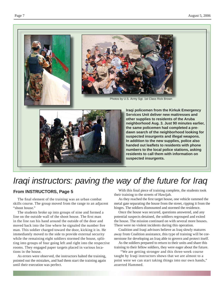

# *Iraqi instructors: paving the way of the future for Iraq*

### **From INSTRUCTORS, Page 5**

The final element of the training was an urban combat skills course. The group moved from the range to an adjacent "shoot house."

The students broke up into groups of nine and formed a line on the outside wall of the shoot house. The first man in the line ran his hand around the outside of the door and moved back into the line where he signaled the number five man. This soldier charged toward the door, kicking it in. He immediately moved to the side to provide external security while the remaining eight soldiers stormed the house, splitting into groups of four going left and right into the respective rooms. They engaged paper targets placed in various locations in the house.

As errors were observed, the instructors halted the training, pointed out the mistakes, and had them start the training again until their execution was perfect.

With this final piece of training complete, the students took their training to the streets of Hawijah.

**suspected insurgents.** 

As they reached the first target house, one vehicle rammed the metal gate separating the house from the street, ripping it from the hinges. The soldiers dismounted and stormed the residence.

Once the house was secured, questions answered, and any potential suspects detained, the soldiers regrouped and exited the house. The mission continued on with several more houses. There were no violent incidents during this operation.

Coalition and Iraqi advisors believe as Iraq slowly matures away from Coalition assistance, this type of training will be cornerstone for developing an Iraq able to govern and protect itself.

As the soldiers prepared to return to their units and share this training to their fellow soldiers, they were eager about the future.

 "We are getting stronger and this three-week course taught by Iraqi instructors shows that we are almost to a point were we can start taking things into our own hands," asserted Hammed.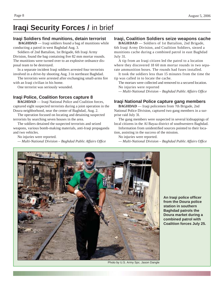### **Iraqi Security Forces /** in brief

### **Iraqi Soldiers find munitions, detain terrorist**

**BAGHDAD** — Iraqi soldiers found a bag of munitions while conducting a patrol in west Baghdad Aug. 3.

Soldiers of 2nd Battalion, 1st Brigade, 6th Iraqi Army Division, found the bag containing five 82 mm mortar rounds. The munitions were turned over to an explosive ordnance disposal team to be destroyed.

In a separate incident Iraqi soldiers arrested four terrorists involved in a drive-by shooting Aug. 3 in northeast Baghdad.

The terrorists were arrested after exchanging small-arms fire with an Iraqi civilian in his home.

One terrorist was seriously wounded.

### **Iraqi Police, Coalition forces capture 8**

**BAGHDAD** — Iraqi National Police and Coalition forces, captured eight suspected terrorists during a joint operation in the Doura neighborhood, near the center of Baghdad, Aug. 2.

The operation focused on locating and detaining suspected terrorists by searching seven houses in the area.

The soldiers detained the suspected terrorists and seized weapons, various bomb-making materials, anti-Iraqi propaganda and two vehicles.

No injuries were reported.

 $-$  *Multi-National Division - Baghdad Public Affairs Office* 

### **Iraqi, Coalition Soldiers seize weapons cache**

**BAGHDAD** — Soldiers of 1st Battalion, 2nd Brigade, 6th Iraqi Army Division, and Coalition Soldiers, siezed a munitions cache during a combined patrol in east Baghdad July 31.

A tip from an Iraqi citizen led the patrol to a location where they discovered 18 60 mm mortar rounds in two separate ammunition boxes. The rounds had fuses installed.

It took the soldiers less than 15 minutes from the time the tip was called in to locate the cache.

The mortars were collected and removed to a secured location. No injuries were reported

*— Multi-National Division – Baghdad Public Affairs Offi ce*

### **Iraqi National Police capture gang members**

**BAGHDAD** — Iraqi policemen from 7th Brigade, 2nd National Police Division, captured two gang members in a surprise raid July 31.

The gang members were suspected in several kidnappings of local citizens in the Al Bayaa district of southwestern Baghdad.

Information from unidentified sources pointed to their location, assisting in the success of the mission.

No injuries were reported.

 $-$  *Multi-National Division - Baghdad Public Affairs Office* 



**An Iraqi police offi cer from the Doura police station in southern Baghdad patrols the Doura market during a combined patrol with Coalition forces July 25.**

Photo by U.S. Army Spc. Jason Dangle